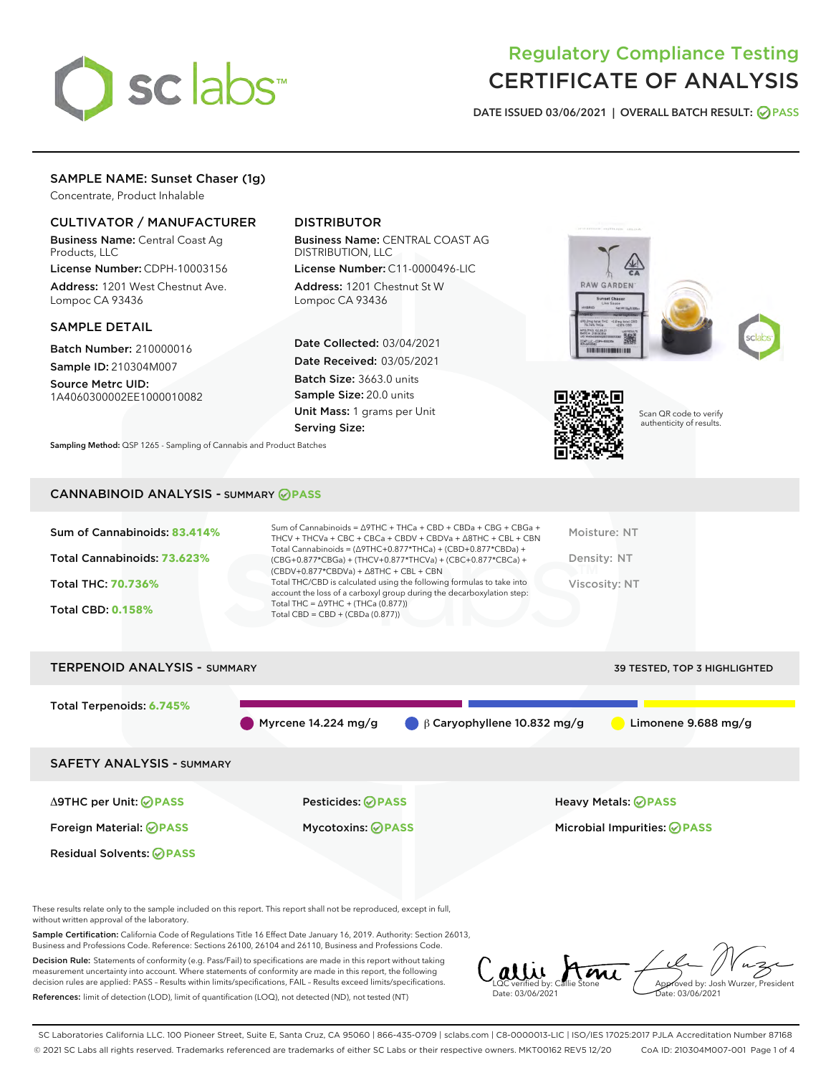

# Regulatory Compliance Testing CERTIFICATE OF ANALYSIS

DATE ISSUED 03/06/2021 | OVERALL BATCH RESULT: @ PASS

# SAMPLE NAME: Sunset Chaser (1g)

Concentrate, Product Inhalable

# CULTIVATOR / MANUFACTURER

Business Name: Central Coast Ag Products, LLC

License Number: CDPH-10003156 Address: 1201 West Chestnut Ave. Lompoc CA 93436

#### SAMPLE DETAIL

Batch Number: 210000016 Sample ID: 210304M007

Source Metrc UID: 1A4060300002EE1000010082

# DISTRIBUTOR

Business Name: CENTRAL COAST AG DISTRIBUTION, LLC

License Number: C11-0000496-LIC Address: 1201 Chestnut St W Lompoc CA 93436

Date Collected: 03/04/2021 Date Received: 03/05/2021 Batch Size: 3663.0 units Sample Size: 20.0 units Unit Mass: 1 grams per Unit Serving Size:

Sampling Method: QSP 1265 - Sampling of Cannabis and Product Batches

# ..................



Scan QR code to verify authenticity of results.

## CANNABINOID ANALYSIS - SUMMARY **PASS**

| Sum of Cannabinoids: 83.414% | Sum of Cannabinoids = $\triangle$ 9THC + THCa + CBD + CBDa + CBG + CBGa +<br>THCV + THCVa + CBC + CBCa + CBDV + CBDVa + $\Delta$ 8THC + CBL + CBN                                    | Moisture: NT  |
|------------------------------|--------------------------------------------------------------------------------------------------------------------------------------------------------------------------------------|---------------|
| Total Cannabinoids: 73.623%  | Total Cannabinoids = $(\Delta$ 9THC+0.877*THCa) + (CBD+0.877*CBDa) +<br>(CBG+0.877*CBGa) + (THCV+0.877*THCVa) + (CBC+0.877*CBCa) +<br>$(CBDV+0.877*CBDVa) + \Delta 8THC + CBL + CBN$ | Density: NT   |
| <b>Total THC: 70.736%</b>    | Total THC/CBD is calculated using the following formulas to take into<br>account the loss of a carboxyl group during the decarboxylation step:                                       | Viscosity: NT |
| <b>Total CBD: 0.158%</b>     | Total THC = $\triangle$ 9THC + (THCa (0.877))<br>Total CBD = $CBD + (CBDa (0.877))$                                                                                                  |               |
|                              |                                                                                                                                                                                      |               |

# TERPENOID ANALYSIS - SUMMARY 39 TESTED, TOP 3 HIGHLIGHTED Total Terpenoids: **6.745%** Myrcene 14.224 mg/g  $\qquad \beta$  Caryophyllene 10.832 mg/g Limonene 9.688 mg/g SAFETY ANALYSIS - SUMMARY Δ9THC per Unit: **PASS** Pesticides: **PASS** Heavy Metals: **PASS** Foreign Material: **PASS** Mycotoxins: **PASS** Microbial Impurities: **PASS** Residual Solvents: **PASS**

These results relate only to the sample included on this report. This report shall not be reproduced, except in full, without written approval of the laboratory.

Sample Certification: California Code of Regulations Title 16 Effect Date January 16, 2019. Authority: Section 26013, Business and Professions Code. Reference: Sections 26100, 26104 and 26110, Business and Professions Code.

Decision Rule: Statements of conformity (e.g. Pass/Fail) to specifications are made in this report without taking measurement uncertainty into account. Where statements of conformity are made in this report, the following decision rules are applied: PASS – Results within limits/specifications, FAIL – Results exceed limits/specifications. References: limit of detection (LOD), limit of quantification (LOQ), not detected (ND), not tested (NT)

alli Ami Approved by: Josh Wurzer, President LQC verified by: Callie Stone Date: 03/06/2021 Date: 03/06/2021

SC Laboratories California LLC. 100 Pioneer Street, Suite E, Santa Cruz, CA 95060 | 866-435-0709 | sclabs.com | C8-0000013-LIC | ISO/IES 17025:2017 PJLA Accreditation Number 87168 © 2021 SC Labs all rights reserved. Trademarks referenced are trademarks of either SC Labs or their respective owners. MKT00162 REV5 12/20 CoA ID: 210304M007-001 Page 1 of 4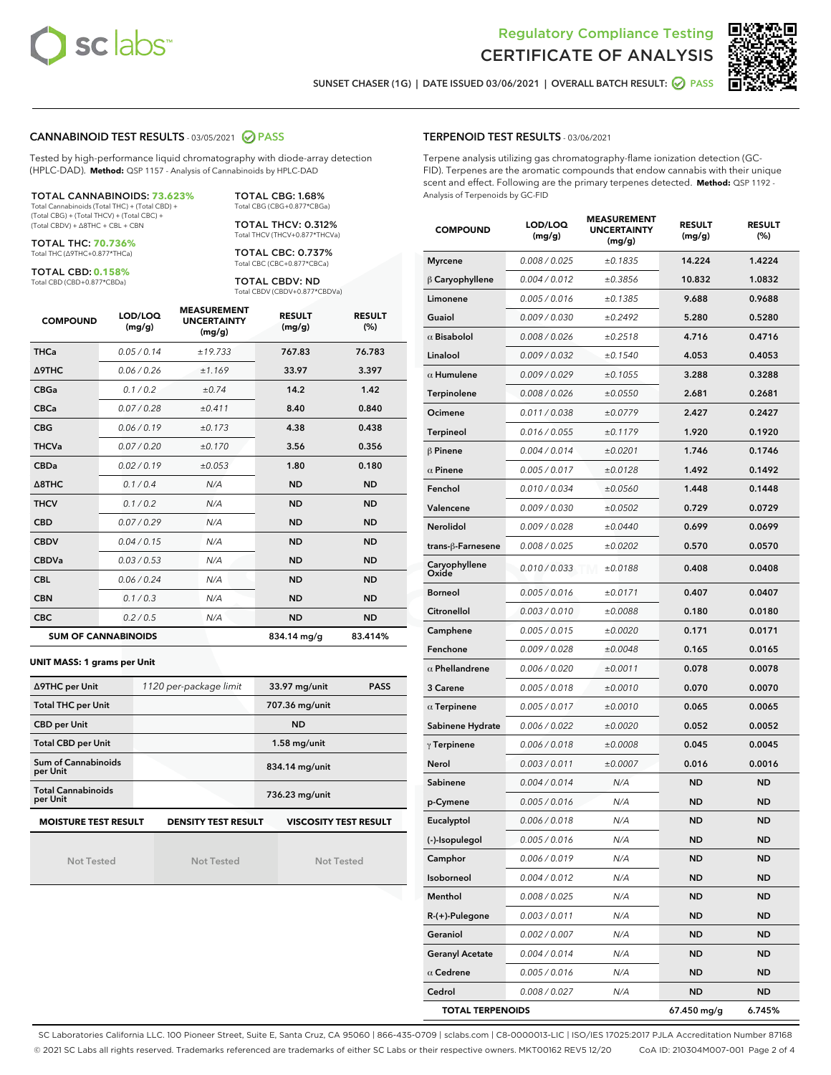



SUNSET CHASER (1G) | DATE ISSUED 03/06/2021 | OVERALL BATCH RESULT: @ PASS

#### CANNABINOID TEST RESULTS - 03/05/2021 2 PASS

Tested by high-performance liquid chromatography with diode-array detection (HPLC-DAD). **Method:** QSP 1157 - Analysis of Cannabinoids by HPLC-DAD

TOTAL CANNABINOIDS: **73.623%** Total Cannabinoids (Total THC) + (Total CBD) + (Total CBG) + (Total THCV) + (Total CBC) + (Total CBDV) + ∆8THC + CBL + CBN

TOTAL THC: **70.736%**

Total THC (∆9THC+0.877\*THCa)

TOTAL CBD: **0.158%** Total CBD (CBD+0.877\*CBDa)

TOTAL THCV: 0.312% Total THCV (THCV+0.877\*THCVa) TOTAL CBC: 0.737% Total CBC (CBC+0.877\*CBCa)

TOTAL CBG: 1.68% Total CBG (CBG+0.877\*CBGa)

TOTAL CBDV: ND Total CBDV (CBDV+0.877\*CBDVa)

| <b>COMPOUND</b>  | LOD/LOQ<br>(mg/g)          | <b>MEASUREMENT</b><br><b>UNCERTAINTY</b><br>(mg/g) | <b>RESULT</b><br>(mg/g) | <b>RESULT</b><br>(%) |
|------------------|----------------------------|----------------------------------------------------|-------------------------|----------------------|
| <b>THCa</b>      | 0.05/0.14                  | ±19.733                                            | 767.83                  | 76.783               |
| <b>A9THC</b>     | 0.06 / 0.26                | ±1.169                                             | 33.97                   | 3.397                |
| <b>CBGa</b>      | 0.1 / 0.2                  | ±0.74                                              | 14.2                    | 1.42                 |
| <b>CBCa</b>      | 0.07/0.28                  | ±0.411                                             | 8.40                    | 0.840                |
| <b>CBG</b>       | 0.06/0.19                  | ±0.173                                             | 4.38                    | 0.438                |
| <b>THCVa</b>     | 0.07/0.20                  | ±0.170                                             | 3.56                    | 0.356                |
| <b>CBDa</b>      | 0.02/0.19                  | ±0.053                                             | 1.80                    | 0.180                |
| $\triangle$ 8THC | 0.1/0.4                    | N/A                                                | <b>ND</b>               | <b>ND</b>            |
| <b>THCV</b>      | 0.1/0.2                    | N/A                                                | <b>ND</b>               | <b>ND</b>            |
| <b>CBD</b>       | 0.07/0.29                  | N/A                                                | <b>ND</b>               | <b>ND</b>            |
| <b>CBDV</b>      | 0.04 / 0.15                | N/A                                                | <b>ND</b>               | <b>ND</b>            |
| <b>CBDVa</b>     | 0.03/0.53                  | N/A                                                | <b>ND</b>               | <b>ND</b>            |
| <b>CBL</b>       | 0.06 / 0.24                | N/A                                                | <b>ND</b>               | <b>ND</b>            |
| <b>CBN</b>       | 0.1/0.3                    | N/A                                                | <b>ND</b>               | <b>ND</b>            |
| <b>CBC</b>       | 0.2 / 0.5                  | N/A                                                | <b>ND</b>               | <b>ND</b>            |
|                  | <b>SUM OF CANNABINOIDS</b> |                                                    | 834.14 mg/g             | 83.414%              |

#### **UNIT MASS: 1 grams per Unit**

| ∆9THC per Unit                         | 1120 per-package limit     | 33.97 mg/unit<br><b>PASS</b> |  |
|----------------------------------------|----------------------------|------------------------------|--|
| <b>Total THC per Unit</b>              |                            | 707.36 mg/unit               |  |
| <b>CBD per Unit</b>                    |                            | <b>ND</b>                    |  |
| <b>Total CBD per Unit</b>              |                            | $1.58$ mg/unit               |  |
| <b>Sum of Cannabinoids</b><br>per Unit |                            | 834.14 mg/unit               |  |
| <b>Total Cannabinoids</b><br>per Unit  |                            | 736.23 mg/unit               |  |
| <b>MOISTURE TEST RESULT</b>            | <b>DENSITY TEST RESULT</b> | <b>VISCOSITY TEST RESULT</b> |  |

Not Tested

**MOISTURE TEST RESULT**

Not Tested

Not Tested

#### TERPENOID TEST RESULTS - 03/06/2021

Terpene analysis utilizing gas chromatography-flame ionization detection (GC-FID). Terpenes are the aromatic compounds that endow cannabis with their unique scent and effect. Following are the primary terpenes detected. **Method:** QSP 1192 - Analysis of Terpenoids by GC-FID

| <b>COMPOUND</b>         | LOD/LOQ<br>(mg/g) | <b>MEASUREMENT</b><br><b>UNCERTAINTY</b><br>(mq/q) | <b>RESULT</b><br>(mg/g) | <b>RESULT</b><br>$(\%)$ |
|-------------------------|-------------------|----------------------------------------------------|-------------------------|-------------------------|
| <b>Myrcene</b>          | 0.008 / 0.025     | ±0.1835                                            | 14.224                  | 1.4224                  |
| B Caryophyllene         | 0.004 / 0.012     | ±0.3856                                            | 10.832                  | 1.0832                  |
| Limonene                | 0.005 / 0.016     | ±0.1385                                            | 9.688                   | 0.9688                  |
| Guaiol                  | 0.009 / 0.030     | ±0.2492                                            | 5.280                   | 0.5280                  |
| $\alpha$ Bisabolol      | 0.008 / 0.026     | ±0.2518                                            | 4.716                   | 0.4716                  |
| Linalool                | 0.009 / 0.032     | ±0.1540                                            | 4.053                   | 0.4053                  |
| $\alpha$ Humulene       | 0.009/0.029       | ±0.1055                                            | 3.288                   | 0.3288                  |
| Terpinolene             | 0.008 / 0.026     | ±0.0550                                            | 2.681                   | 0.2681                  |
| Ocimene                 | 0.011 / 0.038     | ±0.0779                                            | 2.427                   | 0.2427                  |
| <b>Terpineol</b>        | 0.016 / 0.055     | ±0.1179                                            | 1.920                   | 0.1920                  |
| $\beta$ Pinene          | 0.004 / 0.014     | ±0.0201                                            | 1.746                   | 0.1746                  |
| $\alpha$ Pinene         | 0.005 / 0.017     | ±0.0128                                            | 1.492                   | 0.1492                  |
| Fenchol                 | 0.010 / 0.034     | ±0.0560                                            | 1.448                   | 0.1448                  |
| Valencene               | 0.009 / 0.030     | ±0.0502                                            | 0.729                   | 0.0729                  |
| Nerolidol               | 0.009 / 0.028     | ±0.0440                                            | 0.699                   | 0.0699                  |
| trans-β-Farnesene       | 0.008 / 0.025     | ±0.0202                                            | 0.570                   | 0.0570                  |
| Caryophyllene<br>Oxide  | 0.010 / 0.033     | ±0.0188                                            | 0.408                   | 0.0408                  |
| Borneol                 | 0.005 / 0.016     | ±0.0171                                            | 0.407                   | 0.0407                  |
| Citronellol             | 0.003 / 0.010     | ±0.0088                                            | 0.180                   | 0.0180                  |
| Camphene                | 0.005 / 0.015     | ±0.0020                                            | 0.171                   | 0.0171                  |
| Fenchone                | 0.009 / 0.028     | ±0.0048                                            | 0.165                   | 0.0165                  |
| $\alpha$ Phellandrene   | 0.006 / 0.020     | ±0.0011                                            | 0.078                   | 0.0078                  |
| 3 Carene                | 0.005 / 0.018     | ±0.0010                                            | 0.070                   | 0.0070                  |
| $\alpha$ Terpinene      | 0.005 / 0.017     | ±0.0010                                            | 0.065                   | 0.0065                  |
| Sabinene Hydrate        | 0.006 / 0.022     | ±0.0020                                            | 0.052                   | 0.0052                  |
| $\gamma$ Terpinene      | 0.006 / 0.018     | ±0.0008                                            | 0.045                   | 0.0045                  |
| Nerol                   | 0.003 / 0.011     | ±0.0007                                            | 0.016                   | 0.0016                  |
| Sabinene                | 0.004 / 0.014     | N/A                                                | <b>ND</b>               | <b>ND</b>               |
| p-Cymene                | 0.005 / 0.016     | N/A                                                | <b>ND</b>               | <b>ND</b>               |
| Eucalyptol              | 0.006 / 0.018     | N/A                                                | <b>ND</b>               | <b>ND</b>               |
| (-)-Isopulegol          | 0.005 / 0.016     | N/A                                                | ND                      | ND                      |
| Camphor                 | 0.006 / 0.019     | N/A                                                | ND                      | ND                      |
| Isoborneol              | 0.004 / 0.012     | N/A                                                | ND                      | ND                      |
| Menthol                 | 0.008 / 0.025     | N/A                                                | ND                      | ND                      |
| R-(+)-Pulegone          | 0.003 / 0.011     | N/A                                                | ND                      | ND                      |
| Geraniol                | 0.002 / 0.007     | N/A                                                | ND                      | ND                      |
| <b>Geranyl Acetate</b>  | 0.004 / 0.014     | N/A                                                | ND                      | ND                      |
| $\alpha$ Cedrene        | 0.005 / 0.016     | N/A                                                | ND                      | ND                      |
| Cedrol                  | 0.008 / 0.027     | N/A                                                | ND                      | ND                      |
| <b>TOTAL TERPENOIDS</b> |                   |                                                    | 67.450 mg/g             | 6.745%                  |

SC Laboratories California LLC. 100 Pioneer Street, Suite E, Santa Cruz, CA 95060 | 866-435-0709 | sclabs.com | C8-0000013-LIC | ISO/IES 17025:2017 PJLA Accreditation Number 87168 © 2021 SC Labs all rights reserved. Trademarks referenced are trademarks of either SC Labs or their respective owners. MKT00162 REV5 12/20 CoA ID: 210304M007-001 Page 2 of 4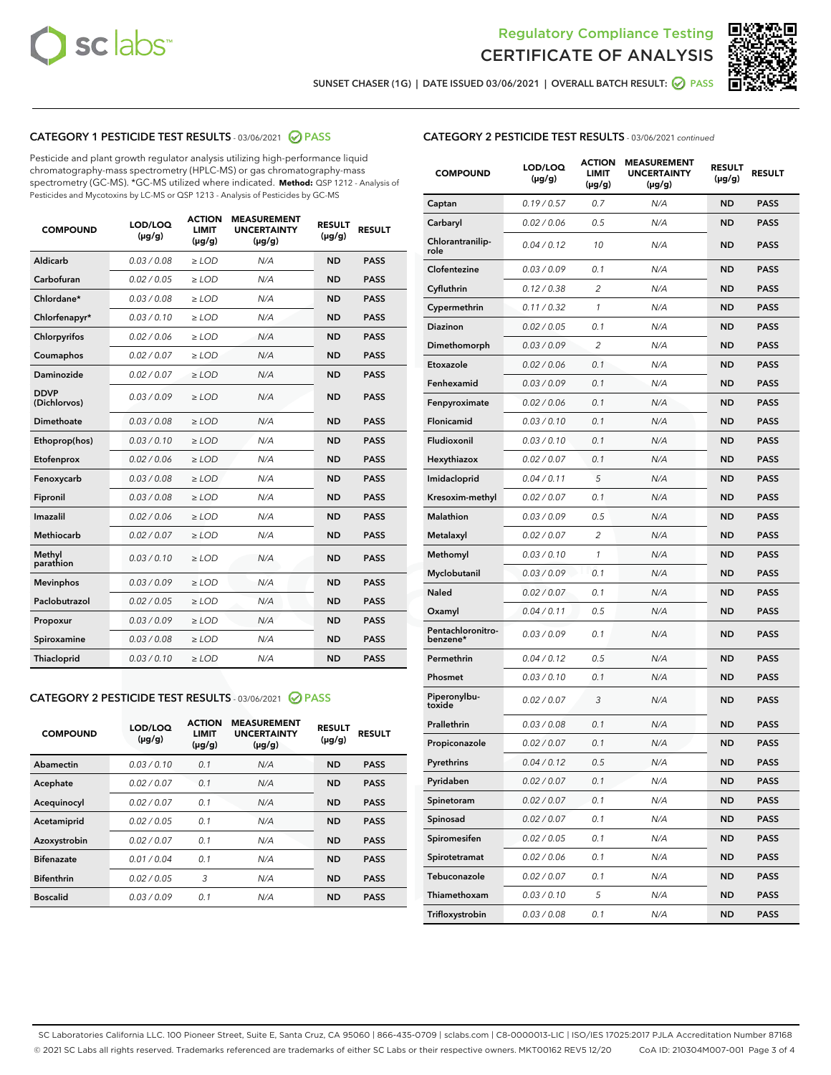



SUNSET CHASER (1G) | DATE ISSUED 03/06/2021 | OVERALL BATCH RESULT: ● PASS

# CATEGORY 1 PESTICIDE TEST RESULTS - 03/06/2021 2 PASS

Pesticide and plant growth regulator analysis utilizing high-performance liquid chromatography-mass spectrometry (HPLC-MS) or gas chromatography-mass spectrometry (GC-MS). \*GC-MS utilized where indicated. **Method:** QSP 1212 - Analysis of Pesticides and Mycotoxins by LC-MS or QSP 1213 - Analysis of Pesticides by GC-MS

| <b>COMPOUND</b>             | LOD/LOQ<br>$(\mu g/g)$ | <b>ACTION</b><br><b>LIMIT</b><br>$(\mu g/g)$ | <b>MEASUREMENT</b><br><b>UNCERTAINTY</b><br>$(\mu g/g)$ | <b>RESULT</b><br>$(\mu g/g)$ | <b>RESULT</b> |
|-----------------------------|------------------------|----------------------------------------------|---------------------------------------------------------|------------------------------|---------------|
| Aldicarb                    | 0.03 / 0.08            | $\ge$ LOD                                    | N/A                                                     | <b>ND</b>                    | <b>PASS</b>   |
| Carbofuran                  | 0.02/0.05              | $>$ LOD                                      | N/A                                                     | <b>ND</b>                    | <b>PASS</b>   |
| Chlordane*                  | 0.03 / 0.08            | $\ge$ LOD                                    | N/A                                                     | <b>ND</b>                    | <b>PASS</b>   |
| Chlorfenapyr*               | 0.03/0.10              | $>$ LOD                                      | N/A                                                     | <b>ND</b>                    | <b>PASS</b>   |
| Chlorpyrifos                | 0.02 / 0.06            | $\ge$ LOD                                    | N/A                                                     | <b>ND</b>                    | <b>PASS</b>   |
| Coumaphos                   | 0.02 / 0.07            | $\ge$ LOD                                    | N/A                                                     | <b>ND</b>                    | <b>PASS</b>   |
| Daminozide                  | 0.02 / 0.07            | $\ge$ LOD                                    | N/A                                                     | <b>ND</b>                    | <b>PASS</b>   |
| <b>DDVP</b><br>(Dichlorvos) | 0.03/0.09              | $\ge$ LOD                                    | N/A                                                     | <b>ND</b>                    | <b>PASS</b>   |
| Dimethoate                  | 0.03/0.08              | $>$ LOD                                      | N/A                                                     | <b>ND</b>                    | <b>PASS</b>   |
| Ethoprop(hos)               | 0.03/0.10              | $\ge$ LOD                                    | N/A                                                     | <b>ND</b>                    | <b>PASS</b>   |
| Etofenprox                  | 0.02 / 0.06            | $\ge$ LOD                                    | N/A                                                     | <b>ND</b>                    | <b>PASS</b>   |
| Fenoxycarb                  | 0.03 / 0.08            | $\ge$ LOD                                    | N/A                                                     | <b>ND</b>                    | <b>PASS</b>   |
| Fipronil                    | 0.03/0.08              | $>$ LOD                                      | N/A                                                     | <b>ND</b>                    | <b>PASS</b>   |
| Imazalil                    | 0.02 / 0.06            | $\ge$ LOD                                    | N/A                                                     | <b>ND</b>                    | <b>PASS</b>   |
| Methiocarb                  | 0.02 / 0.07            | $\ge$ LOD                                    | N/A                                                     | <b>ND</b>                    | <b>PASS</b>   |
| Methyl<br>parathion         | 0.03/0.10              | $\ge$ LOD                                    | N/A                                                     | <b>ND</b>                    | <b>PASS</b>   |
| <b>Mevinphos</b>            | 0.03/0.09              | $>$ LOD                                      | N/A                                                     | <b>ND</b>                    | <b>PASS</b>   |
| Paclobutrazol               | 0.02 / 0.05            | $\ge$ LOD                                    | N/A                                                     | <b>ND</b>                    | <b>PASS</b>   |
| Propoxur                    | 0.03/0.09              | $\ge$ LOD                                    | N/A                                                     | <b>ND</b>                    | <b>PASS</b>   |
| Spiroxamine                 | 0.03 / 0.08            | $\ge$ LOD                                    | N/A                                                     | <b>ND</b>                    | <b>PASS</b>   |
| Thiacloprid                 | 0.03/0.10              | $\ge$ LOD                                    | N/A                                                     | <b>ND</b>                    | <b>PASS</b>   |

#### CATEGORY 2 PESTICIDE TEST RESULTS - 03/06/2021 @ PASS

| <b>COMPOUND</b>   | LOD/LOQ<br>$(\mu g/g)$ | <b>ACTION</b><br><b>LIMIT</b><br>$(\mu g/g)$ | <b>MEASUREMENT</b><br><b>UNCERTAINTY</b><br>$(\mu g/g)$ | <b>RESULT</b><br>$(\mu g/g)$ | <b>RESULT</b> |
|-------------------|------------------------|----------------------------------------------|---------------------------------------------------------|------------------------------|---------------|
| Abamectin         | 0.03/0.10              | 0.1                                          | N/A                                                     | <b>ND</b>                    | <b>PASS</b>   |
| Acephate          | 0.02/0.07              | 0.1                                          | N/A                                                     | <b>ND</b>                    | <b>PASS</b>   |
| Acequinocyl       | 0.02/0.07              | 0.1                                          | N/A                                                     | <b>ND</b>                    | <b>PASS</b>   |
| Acetamiprid       | 0.02/0.05              | 0.1                                          | N/A                                                     | <b>ND</b>                    | <b>PASS</b>   |
| Azoxystrobin      | 0.02/0.07              | 0.1                                          | N/A                                                     | <b>ND</b>                    | <b>PASS</b>   |
| <b>Bifenazate</b> | 0.01/0.04              | 0.1                                          | N/A                                                     | <b>ND</b>                    | <b>PASS</b>   |
| <b>Bifenthrin</b> | 0.02/0.05              | 3                                            | N/A                                                     | <b>ND</b>                    | <b>PASS</b>   |
| <b>Boscalid</b>   | 0.03/0.09              | 0.1                                          | N/A                                                     | <b>ND</b>                    | <b>PASS</b>   |

# CATEGORY 2 PESTICIDE TEST RESULTS - 03/06/2021 continued

| <b>COMPOUND</b>               | <b>LOD/LOQ</b><br>$(\mu g/g)$ | <b>ACTION</b><br><b>LIMIT</b><br>$(\mu g/g)$ | <b>MEASUREMENT</b><br><b>UNCERTAINTY</b><br>(µg/g) | <b>RESULT</b><br>(µg/g) | <b>RESULT</b> |
|-------------------------------|-------------------------------|----------------------------------------------|----------------------------------------------------|-------------------------|---------------|
| Captan                        | 0.19/0.57                     | 0.7                                          | N/A                                                | <b>ND</b>               | <b>PASS</b>   |
| Carbaryl                      | 0.02 / 0.06                   | 0.5                                          | N/A                                                | ND                      | <b>PASS</b>   |
| Chlorantranilip-<br>role      | 0.04/0.12                     | 10                                           | N/A                                                | ND                      | <b>PASS</b>   |
| Clofentezine                  | 0.03/0.09                     | 0.1                                          | N/A                                                | ND                      | <b>PASS</b>   |
| Cyfluthrin                    | 0.12 / 0.38                   | $\overline{c}$                               | N/A                                                | ND                      | <b>PASS</b>   |
| Cypermethrin                  | 0.11 / 0.32                   | 1                                            | N/A                                                | ND                      | <b>PASS</b>   |
| <b>Diazinon</b>               | 0.02 / 0.05                   | 0.1                                          | N/A                                                | ND                      | PASS          |
| Dimethomorph                  | 0.03 / 0.09                   | 2                                            | N/A                                                | ND                      | <b>PASS</b>   |
| Etoxazole                     | 0.02 / 0.06                   | 0.1                                          | N/A                                                | ND                      | <b>PASS</b>   |
| Fenhexamid                    | 0.03 / 0.09                   | 0.1                                          | N/A                                                | ND                      | <b>PASS</b>   |
| Fenpyroximate                 | 0.02 / 0.06                   | 0.1                                          | N/A                                                | ND                      | <b>PASS</b>   |
| Flonicamid                    | 0.03 / 0.10                   | 0.1                                          | N/A                                                | ND                      | <b>PASS</b>   |
| Fludioxonil                   | 0.03/0.10                     | 0.1                                          | N/A                                                | ND                      | PASS          |
| Hexythiazox                   | 0.02 / 0.07                   | 0.1                                          | N/A                                                | ND                      | <b>PASS</b>   |
| Imidacloprid                  | 0.04 / 0.11                   | 5                                            | N/A                                                | ND                      | <b>PASS</b>   |
| Kresoxim-methyl               | 0.02 / 0.07                   | 0.1                                          | N/A                                                | ND                      | <b>PASS</b>   |
| <b>Malathion</b>              | 0.03 / 0.09                   | 0.5                                          | N/A                                                | ND                      | <b>PASS</b>   |
| Metalaxyl                     | 0.02 / 0.07                   | 2                                            | N/A                                                | ND                      | <b>PASS</b>   |
| Methomyl                      | 0.03 / 0.10                   | 1                                            | N/A                                                | ND                      | PASS          |
| Myclobutanil                  | 0.03 / 0.09                   | 0.1                                          | N/A                                                | ND                      | <b>PASS</b>   |
| Naled                         | 0.02 / 0.07                   | 0.1                                          | N/A                                                | ND                      | <b>PASS</b>   |
| Oxamyl                        | 0.04 / 0.11                   | 0.5                                          | N/A                                                | ND                      | PASS          |
| Pentachloronitro-<br>benzene* | 0.03 / 0.09                   | 0.1                                          | N/A                                                | ND                      | <b>PASS</b>   |
| Permethrin                    | 0.04 / 0.12                   | 0.5                                          | N/A                                                | ND                      | <b>PASS</b>   |
| Phosmet                       | 0.03/0.10                     | 0.1                                          | N/A                                                | ND                      | <b>PASS</b>   |
| Piperonylbu-<br>toxide        | 0.02 / 0.07                   | 3                                            | N/A                                                | ND                      | <b>PASS</b>   |
| Prallethrin                   | 0.03 / 0.08                   | 0.1                                          | N/A                                                | ND                      | <b>PASS</b>   |
| Propiconazole                 | 0.02 / 0.07                   | 0.1                                          | N/A                                                | ND                      | <b>PASS</b>   |
| Pyrethrins                    | 0.04 / 0.12                   | 0.5                                          | N/A                                                | ND                      | PASS          |
| Pyridaben                     | 0.02 / 0.07                   | 0.1                                          | N/A                                                | ND                      | <b>PASS</b>   |
| Spinetoram                    | 0.02 / 0.07                   | 0.1                                          | N/A                                                | ND                      | <b>PASS</b>   |
| Spinosad                      | 0.02 / 0.07                   | 0.1                                          | N/A                                                | ND                      | <b>PASS</b>   |
| Spiromesifen                  | 0.02 / 0.05                   | 0.1                                          | N/A                                                | ND                      | <b>PASS</b>   |
| Spirotetramat                 | 0.02 / 0.06                   | 0.1                                          | N/A                                                | ND                      | <b>PASS</b>   |
| Tebuconazole                  | 0.02 / 0.07                   | 0.1                                          | N/A                                                | ND                      | <b>PASS</b>   |
| Thiamethoxam                  | 0.03 / 0.10                   | 5                                            | N/A                                                | ND                      | <b>PASS</b>   |
| Trifloxystrobin               | 0.03 / 0.08                   | 0.1                                          | N/A                                                | ND                      | <b>PASS</b>   |